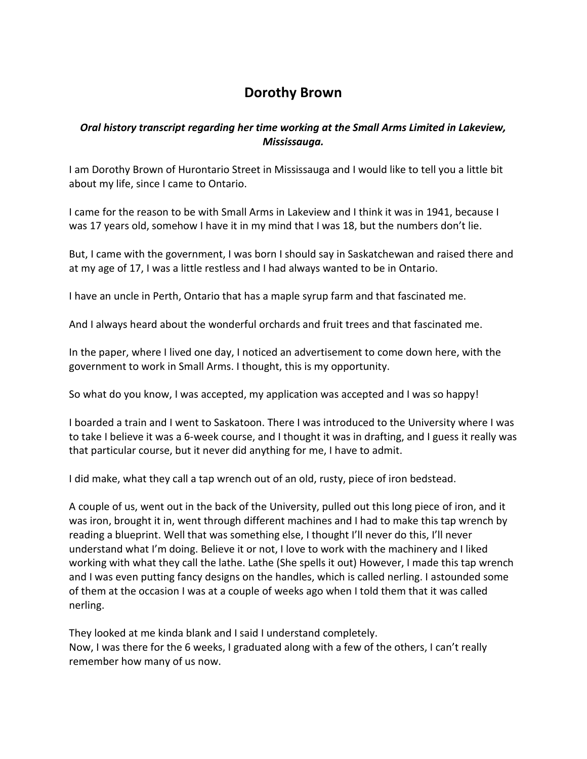## **Dorothy Brown**

## *Oral history transcript regarding her time working at the Small Arms Limited in Lakeview, Mississauga.*

I am Dorothy Brown of Hurontario Street in Mississauga and I would like to tell you a little bit about my life, since I came to Ontario.

I came for the reason to be with Small Arms in Lakeview and I think it was in 1941, because I was 17 years old, somehow I have it in my mind that I was 18, but the numbers don't lie.

But, I came with the government, I was born I should say in Saskatchewan and raised there and at my age of 17, I was a little restless and I had always wanted to be in Ontario.

I have an uncle in Perth, Ontario that has a maple syrup farm and that fascinated me.

And I always heard about the wonderful orchards and fruit trees and that fascinated me.

In the paper, where I lived one day, I noticed an advertisement to come down here, with the government to work in Small Arms. I thought, this is my opportunity.

So what do you know, I was accepted, my application was accepted and I was so happy!

I boarded a train and I went to Saskatoon. There I was introduced to the University where I was to take I believe it was a 6-week course, and I thought it was in drafting, and I guess it really was that particular course, but it never did anything for me, I have to admit.

I did make, what they call a tap wrench out of an old, rusty, piece of iron bedstead.

A couple of us, went out in the back of the University, pulled out this long piece of iron, and it was iron, brought it in, went through different machines and I had to make this tap wrench by reading a blueprint. Well that was something else, I thought I'll never do this, I'll never understand what I'm doing. Believe it or not, I love to work with the machinery and I liked working with what they call the lathe. Lathe (She spells it out) However, I made this tap wrench and I was even putting fancy designs on the handles, which is called nerling. I astounded some of them at the occasion I was at a couple of weeks ago when I told them that it was called nerling.

They looked at me kinda blank and I said I understand completely. Now, I was there for the 6 weeks, I graduated along with a few of the others, I can't really remember how many of us now.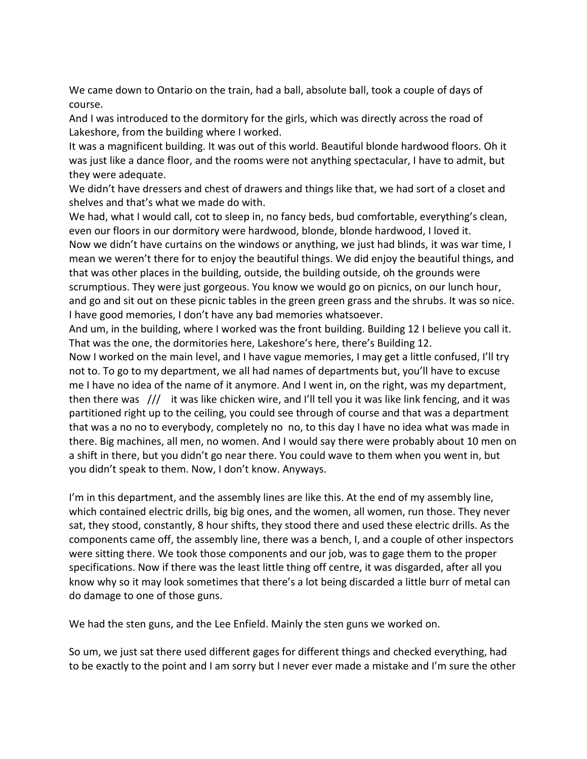We came down to Ontario on the train, had a ball, absolute ball, took a couple of days of course.

And I was introduced to the dormitory for the girls, which was directly across the road of Lakeshore, from the building where I worked.

It was a magnificent building. It was out of this world. Beautiful blonde hardwood floors. Oh it was just like a dance floor, and the rooms were not anything spectacular, I have to admit, but they were adequate.

We didn't have dressers and chest of drawers and things like that, we had sort of a closet and shelves and that's what we made do with.

We had, what I would call, cot to sleep in, no fancy beds, bud comfortable, everything's clean, even our floors in our dormitory were hardwood, blonde, blonde hardwood, I loved it.

Now we didn't have curtains on the windows or anything, we just had blinds, it was war time, I mean we weren't there for to enjoy the beautiful things. We did enjoy the beautiful things, and that was other places in the building, outside, the building outside, oh the grounds were scrumptious. They were just gorgeous. You know we would go on picnics, on our lunch hour, and go and sit out on these picnic tables in the green green grass and the shrubs. It was so nice. I have good memories, I don't have any bad memories whatsoever.

And um, in the building, where I worked was the front building. Building 12 I believe you call it. That was the one, the dormitories here, Lakeshore's here, there's Building 12.

Now I worked on the main level, and I have vague memories, I may get a little confused, I'll try not to. To go to my department, we all had names of departments but, you'll have to excuse me I have no idea of the name of it anymore. And I went in, on the right, was my department, then there was /// it was like chicken wire, and I'll tell you it was like link fencing, and it was partitioned right up to the ceiling, you could see through of course and that was a department that was a no no to everybody, completely no no, to this day I have no idea what was made in there. Big machines, all men, no women. And I would say there were probably about 10 men on a shift in there, but you didn't go near there. You could wave to them when you went in, but you didn't speak to them. Now, I don't know. Anyways.

I'm in this department, and the assembly lines are like this. At the end of my assembly line, which contained electric drills, big big ones, and the women, all women, run those. They never sat, they stood, constantly, 8 hour shifts, they stood there and used these electric drills. As the components came off, the assembly line, there was a bench, I, and a couple of other inspectors were sitting there. We took those components and our job, was to gage them to the proper specifications. Now if there was the least little thing off centre, it was disgarded, after all you know why so it may look sometimes that there's a lot being discarded a little burr of metal can do damage to one of those guns.

We had the sten guns, and the Lee Enfield. Mainly the sten guns we worked on.

So um, we just sat there used different gages for different things and checked everything, had to be exactly to the point and I am sorry but I never ever made a mistake and I'm sure the other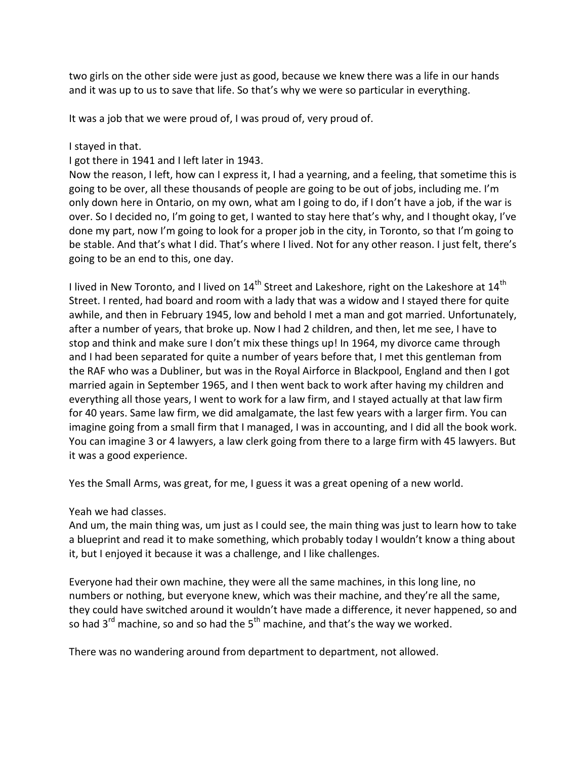two girls on the other side were just as good, because we knew there was a life in our hands and it was up to us to save that life. So that's why we were so particular in everything.

It was a job that we were proud of, I was proud of, very proud of.

I stayed in that.

I got there in 1941 and I left later in 1943.

Now the reason, I left, how can I express it, I had a yearning, and a feeling, that sometime this is going to be over, all these thousands of people are going to be out of jobs, including me. I'm only down here in Ontario, on my own, what am I going to do, if I don't have a job, if the war is over. So I decided no, I'm going to get, I wanted to stay here that's why, and I thought okay, I've done my part, now I'm going to look for a proper job in the city, in Toronto, so that I'm going to be stable. And that's what I did. That's where I lived. Not for any other reason. I just felt, there's going to be an end to this, one day.

I lived in New Toronto, and I lived on  $14<sup>th</sup>$  Street and Lakeshore, right on the Lakeshore at  $14<sup>th</sup>$ Street. I rented, had board and room with a lady that was a widow and I stayed there for quite awhile, and then in February 1945, low and behold I met a man and got married. Unfortunately, after a number of years, that broke up. Now I had 2 children, and then, let me see, I have to stop and think and make sure I don't mix these things up! In 1964, my divorce came through and I had been separated for quite a number of years before that, I met this gentleman from the RAF who was a Dubliner, but was in the Royal Airforce in Blackpool, England and then I got married again in September 1965, and I then went back to work after having my children and everything all those years, I went to work for a law firm, and I stayed actually at that law firm for 40 years. Same law firm, we did amalgamate, the last few years with a larger firm. You can imagine going from a small firm that I managed, I was in accounting, and I did all the book work. You can imagine 3 or 4 lawyers, a law clerk going from there to a large firm with 45 lawyers. But it was a good experience.

Yes the Small Arms, was great, for me, I guess it was a great opening of a new world.

Yeah we had classes.

And um, the main thing was, um just as I could see, the main thing was just to learn how to take a blueprint and read it to make something, which probably today I wouldn't know a thing about it, but I enjoyed it because it was a challenge, and I like challenges.

Everyone had their own machine, they were all the same machines, in this long line, no numbers or nothing, but everyone knew, which was their machine, and they're all the same, they could have switched around it wouldn't have made a difference, it never happened, so and so had  $3<sup>rd</sup>$  machine, so and so had the  $5<sup>th</sup>$  machine, and that's the way we worked.

There was no wandering around from department to department, not allowed.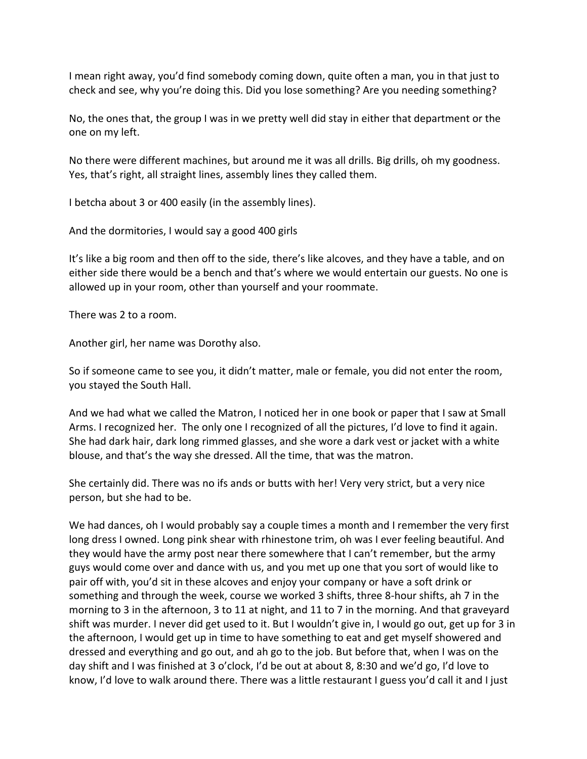I mean right away, you'd find somebody coming down, quite often a man, you in that just to check and see, why you're doing this. Did you lose something? Are you needing something?

No, the ones that, the group I was in we pretty well did stay in either that department or the one on my left.

No there were different machines, but around me it was all drills. Big drills, oh my goodness. Yes, that's right, all straight lines, assembly lines they called them.

I betcha about 3 or 400 easily (in the assembly lines).

And the dormitories, I would say a good 400 girls

It's like a big room and then off to the side, there's like alcoves, and they have a table, and on either side there would be a bench and that's where we would entertain our guests. No one is allowed up in your room, other than yourself and your roommate.

There was 2 to a room.

Another girl, her name was Dorothy also.

So if someone came to see you, it didn't matter, male or female, you did not enter the room, you stayed the South Hall.

And we had what we called the Matron, I noticed her in one book or paper that I saw at Small Arms. I recognized her. The only one I recognized of all the pictures, I'd love to find it again. She had dark hair, dark long rimmed glasses, and she wore a dark vest or jacket with a white blouse, and that's the way she dressed. All the time, that was the matron.

She certainly did. There was no ifs ands or butts with her! Very very strict, but a very nice person, but she had to be.

We had dances, oh I would probably say a couple times a month and I remember the very first long dress I owned. Long pink shear with rhinestone trim, oh was I ever feeling beautiful. And they would have the army post near there somewhere that I can't remember, but the army guys would come over and dance with us, and you met up one that you sort of would like to pair off with, you'd sit in these alcoves and enjoy your company or have a soft drink or something and through the week, course we worked 3 shifts, three 8-hour shifts, ah 7 in the morning to 3 in the afternoon, 3 to 11 at night, and 11 to 7 in the morning. And that graveyard shift was murder. I never did get used to it. But I wouldn't give in, I would go out, get up for 3 in the afternoon, I would get up in time to have something to eat and get myself showered and dressed and everything and go out, and ah go to the job. But before that, when I was on the day shift and I was finished at 3 o'clock, I'd be out at about 8, 8:30 and we'd go, I'd love to know, I'd love to walk around there. There was a little restaurant I guess you'd call it and I just